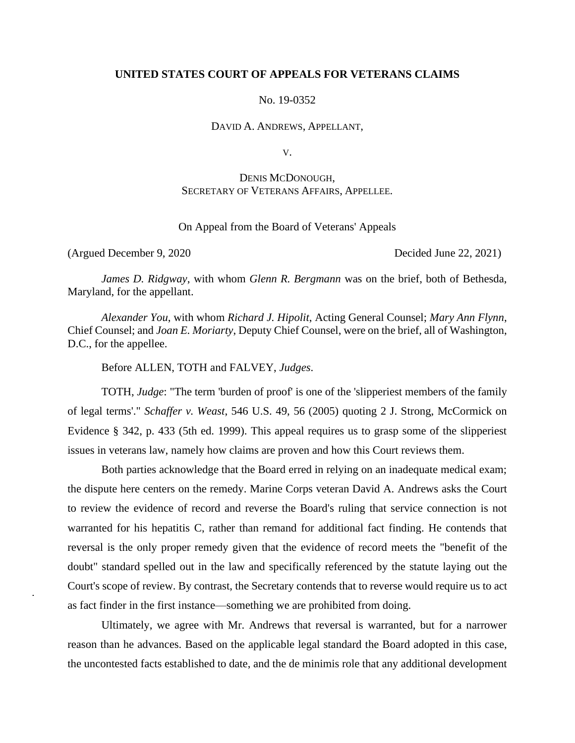## **UNITED STATES COURT OF APPEALS FOR VETERANS CLAIMS**

No. 19-0352

DAVID A. ANDREWS, APPELLANT,

V.

# DENIS MCDONOUGH, SECRETARY OF VETERANS AFFAIRS, APPELLEE.

On Appeal from the Board of Veterans' Appeals

(Argued December 9, 2020 Decided June 22, 2021)

*James D. Ridgway*, with whom *Glenn R. Bergmann* was on the brief, both of Bethesda, Maryland, for the appellant.

*Alexander You*, with whom *Richard J. Hipolit*, Acting General Counsel; *Mary Ann Flynn*, Chief Counsel; and *Joan E. Moriarty*, Deputy Chief Counsel, were on the brief, all of Washington, D.C., for the appellee.

Before ALLEN, TOTH and FALVEY, *Judges*.

TOTH, *Judge*: "The term 'burden of proof' is one of the 'slipperiest members of the family of legal terms'." *Schaffer v. Weast*, 546 U.S. 49, 56 (2005) quoting 2 J. Strong, McCormick on Evidence § 342, p. 433 (5th ed. 1999). This appeal requires us to grasp some of the slipperiest issues in veterans law, namely how claims are proven and how this Court reviews them.

Both parties acknowledge that the Board erred in relying on an inadequate medical exam; the dispute here centers on the remedy. Marine Corps veteran David A. Andrews asks the Court to review the evidence of record and reverse the Board's ruling that service connection is not warranted for his hepatitis C, rather than remand for additional fact finding. He contends that reversal is the only proper remedy given that the evidence of record meets the "benefit of the doubt" standard spelled out in the law and specifically referenced by the statute laying out the Court's scope of review. By contrast, the Secretary contends that to reverse would require us to act as fact finder in the first instance—something we are prohibited from doing.

Ultimately, we agree with Mr. Andrews that reversal is warranted, but for a narrower reason than he advances. Based on the applicable legal standard the Board adopted in this case, the uncontested facts established to date, and the de minimis role that any additional development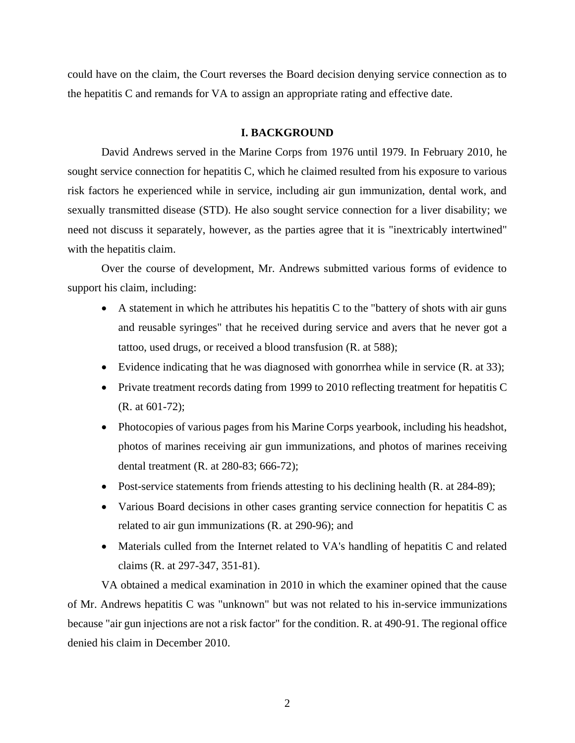could have on the claim, the Court reverses the Board decision denying service connection as to the hepatitis C and remands for VA to assign an appropriate rating and effective date.

### **I. BACKGROUND**

David Andrews served in the Marine Corps from 1976 until 1979. In February 2010, he sought service connection for hepatitis C, which he claimed resulted from his exposure to various risk factors he experienced while in service, including air gun immunization, dental work, and sexually transmitted disease (STD). He also sought service connection for a liver disability; we need not discuss it separately, however, as the parties agree that it is "inextricably intertwined" with the hepatitis claim.

Over the course of development, Mr. Andrews submitted various forms of evidence to support his claim, including:

- A statement in which he attributes his hepatitis C to the "battery of shots with air guns and reusable syringes" that he received during service and avers that he never got a tattoo, used drugs, or received a blood transfusion (R. at 588);
- Evidence indicating that he was diagnosed with gonorrhea while in service (R. at 33);
- Private treatment records dating from 1999 to 2010 reflecting treatment for hepatitis C (R. at 601-72);
- Photocopies of various pages from his Marine Corps yearbook, including his headshot, photos of marines receiving air gun immunizations, and photos of marines receiving dental treatment (R. at 280-83; 666-72);
- Post-service statements from friends attesting to his declining health (R. at 284-89);
- Various Board decisions in other cases granting service connection for hepatitis C as related to air gun immunizations (R. at 290-96); and
- Materials culled from the Internet related to VA's handling of hepatitis C and related claims (R. at 297-347, 351-81).

VA obtained a medical examination in 2010 in which the examiner opined that the cause of Mr. Andrews hepatitis C was "unknown" but was not related to his in-service immunizations because "air gun injections are not a risk factor" for the condition. R. at 490-91. The regional office denied his claim in December 2010.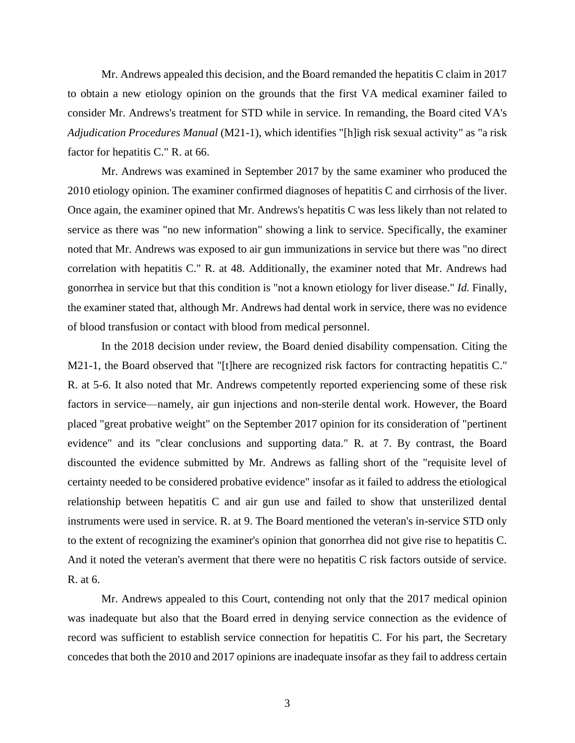Mr. Andrews appealed this decision, and the Board remanded the hepatitis C claim in 2017 to obtain a new etiology opinion on the grounds that the first VA medical examiner failed to consider Mr. Andrews's treatment for STD while in service. In remanding, the Board cited VA's *Adjudication Procedures Manual* (M21-1), which identifies "[h]igh risk sexual activity" as "a risk factor for hepatitis C." R. at 66.

Mr. Andrews was examined in September 2017 by the same examiner who produced the 2010 etiology opinion. The examiner confirmed diagnoses of hepatitis C and cirrhosis of the liver. Once again, the examiner opined that Mr. Andrews's hepatitis C was less likely than not related to service as there was "no new information" showing a link to service. Specifically, the examiner noted that Mr. Andrews was exposed to air gun immunizations in service but there was "no direct correlation with hepatitis C." R. at 48. Additionally, the examiner noted that Mr. Andrews had gonorrhea in service but that this condition is "not a known etiology for liver disease." *Id.* Finally, the examiner stated that, although Mr. Andrews had dental work in service, there was no evidence of blood transfusion or contact with blood from medical personnel.

In the 2018 decision under review, the Board denied disability compensation. Citing the M21-1, the Board observed that "[t]here are recognized risk factors for contracting hepatitis C." R. at 5-6. It also noted that Mr. Andrews competently reported experiencing some of these risk factors in service—namely, air gun injections and non-sterile dental work. However, the Board placed "great probative weight" on the September 2017 opinion for its consideration of "pertinent evidence" and its "clear conclusions and supporting data." R. at 7. By contrast, the Board discounted the evidence submitted by Mr. Andrews as falling short of the "requisite level of certainty needed to be considered probative evidence" insofar as it failed to address the etiological relationship between hepatitis C and air gun use and failed to show that unsterilized dental instruments were used in service. R. at 9. The Board mentioned the veteran's in-service STD only to the extent of recognizing the examiner's opinion that gonorrhea did not give rise to hepatitis C. And it noted the veteran's averment that there were no hepatitis C risk factors outside of service. R. at 6.

Mr. Andrews appealed to this Court, contending not only that the 2017 medical opinion was inadequate but also that the Board erred in denying service connection as the evidence of record was sufficient to establish service connection for hepatitis C. For his part, the Secretary concedes that both the 2010 and 2017 opinions are inadequate insofar as they fail to address certain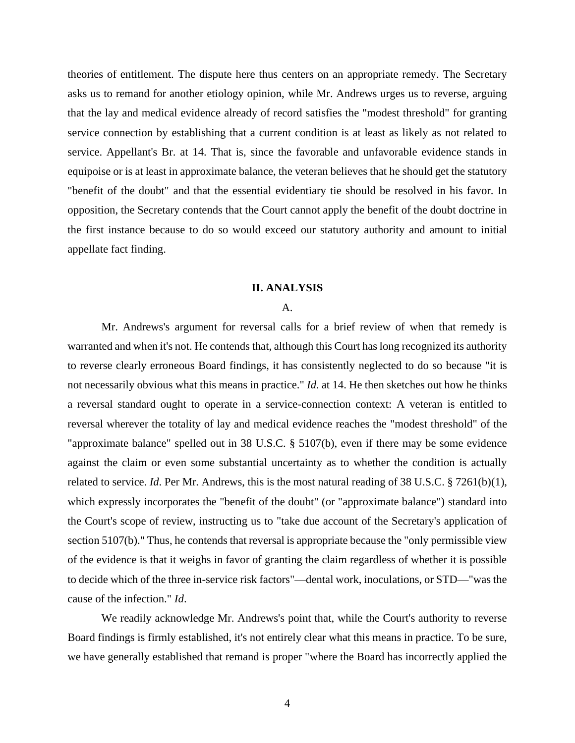theories of entitlement. The dispute here thus centers on an appropriate remedy. The Secretary asks us to remand for another etiology opinion, while Mr. Andrews urges us to reverse, arguing that the lay and medical evidence already of record satisfies the "modest threshold" for granting service connection by establishing that a current condition is at least as likely as not related to service. Appellant's Br. at 14. That is, since the favorable and unfavorable evidence stands in equipoise or is at least in approximate balance, the veteran believes that he should get the statutory "benefit of the doubt" and that the essential evidentiary tie should be resolved in his favor. In opposition, the Secretary contends that the Court cannot apply the benefit of the doubt doctrine in the first instance because to do so would exceed our statutory authority and amount to initial appellate fact finding.

#### **II. ANALYSIS**

#### A.

Mr. Andrews's argument for reversal calls for a brief review of when that remedy is warranted and when it's not. He contends that, although this Court has long recognized its authority to reverse clearly erroneous Board findings, it has consistently neglected to do so because "it is not necessarily obvious what this means in practice." *Id.* at 14. He then sketches out how he thinks a reversal standard ought to operate in a service-connection context: A veteran is entitled to reversal wherever the totality of lay and medical evidence reaches the "modest threshold" of the "approximate balance" spelled out in 38 U.S.C. § 5107(b), even if there may be some evidence against the claim or even some substantial uncertainty as to whether the condition is actually related to service. *Id*. Per Mr. Andrews, this is the most natural reading of 38 U.S.C. § 7261(b)(1), which expressly incorporates the "benefit of the doubt" (or "approximate balance") standard into the Court's scope of review, instructing us to "take due account of the Secretary's application of section 5107(b)." Thus, he contends that reversal is appropriate because the "only permissible view of the evidence is that it weighs in favor of granting the claim regardless of whether it is possible to decide which of the three in-service risk factors"—dental work, inoculations, or STD—"was the cause of the infection." *Id*.

We readily acknowledge Mr. Andrews's point that, while the Court's authority to reverse Board findings is firmly established, it's not entirely clear what this means in practice. To be sure, we have generally established that remand is proper "where the Board has incorrectly applied the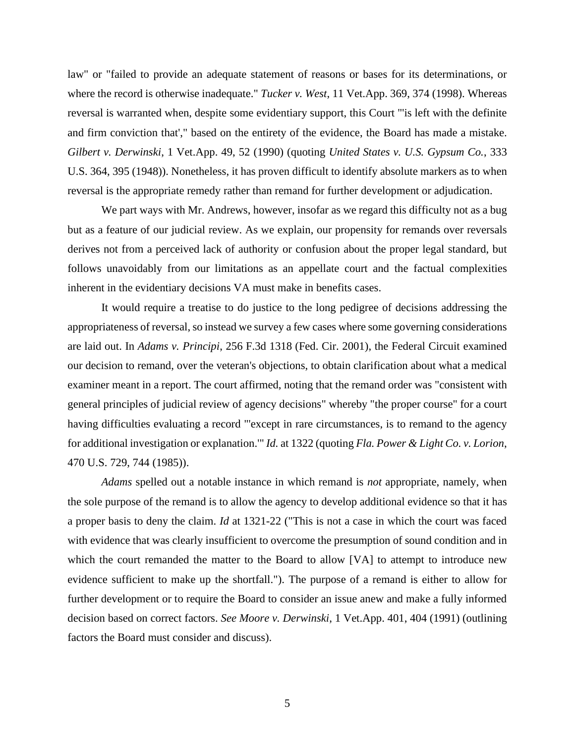law" or "failed to provide an adequate statement of reasons or bases for its determinations, or where the record is otherwise inadequate." *Tucker v. West*, 11 Vet.App. 369, 374 (1998). Whereas reversal is warranted when, despite some evidentiary support, this Court "'is left with the definite and firm conviction that'," based on the entirety of the evidence, the Board has made a mistake. *Gilbert v. Derwinski*, 1 Vet.App. 49, 52 (1990) (quoting *United States v. U.S. Gypsum Co.*, 333 U.S. 364, 395 (1948)). Nonetheless, it has proven difficult to identify absolute markers as to when reversal is the appropriate remedy rather than remand for further development or adjudication.

We part ways with Mr. Andrews, however, insofar as we regard this difficulty not as a bug but as a feature of our judicial review. As we explain, our propensity for remands over reversals derives not from a perceived lack of authority or confusion about the proper legal standard, but follows unavoidably from our limitations as an appellate court and the factual complexities inherent in the evidentiary decisions VA must make in benefits cases.

It would require a treatise to do justice to the long pedigree of decisions addressing the appropriateness of reversal, so instead we survey a few cases where some governing considerations are laid out. In *Adams v. Principi*, 256 F.3d 1318 (Fed. Cir. 2001), the Federal Circuit examined our decision to remand, over the veteran's objections, to obtain clarification about what a medical examiner meant in a report. The court affirmed, noting that the remand order was "consistent with general principles of judicial review of agency decisions" whereby "the proper course" for a court having difficulties evaluating a record "'except in rare circumstances, is to remand to the agency for additional investigation or explanation.'" *Id.* at 1322 (quoting *Fla. Power & Light Co. v. Lorion*, 470 U.S. 729, 744 (1985)).

*Adams* spelled out a notable instance in which remand is *not* appropriate, namely, when the sole purpose of the remand is to allow the agency to develop additional evidence so that it has a proper basis to deny the claim. *Id* at 1321-22 ("This is not a case in which the court was faced with evidence that was clearly insufficient to overcome the presumption of sound condition and in which the court remanded the matter to the Board to allow [VA] to attempt to introduce new evidence sufficient to make up the shortfall."). The purpose of a remand is either to allow for further development or to require the Board to consider an issue anew and make a fully informed decision based on correct factors. *See Moore v. Derwinski*, 1 Vet.App. 401, 404 (1991) (outlining factors the Board must consider and discuss).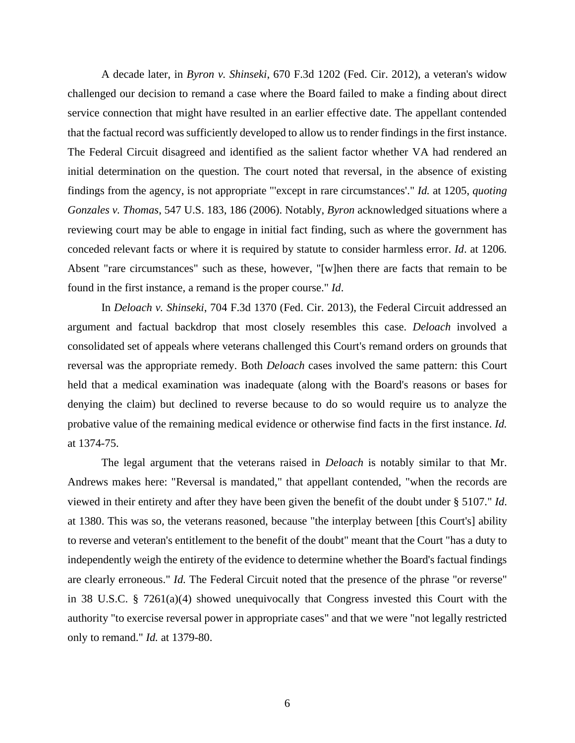A decade later, in *Byron v. Shinseki*, 670 F.3d 1202 (Fed. Cir. 2012), a veteran's widow challenged our decision to remand a case where the Board failed to make a finding about direct service connection that might have resulted in an earlier effective date. The appellant contended that the factual record was sufficiently developed to allow us to render findings in the first instance. The Federal Circuit disagreed and identified as the salient factor whether VA had rendered an initial determination on the question. The court noted that reversal, in the absence of existing findings from the agency, is not appropriate "'except in rare circumstances'." *Id.* at 1205, *quoting Gonzales v. Thomas*, 547 U.S. 183, 186 (2006). Notably, *Byron* acknowledged situations where a reviewing court may be able to engage in initial fact finding, such as where the government has conceded relevant facts or where it is required by statute to consider harmless error. *Id*. at 1206*.*  Absent "rare circumstances" such as these, however, "[w]hen there are facts that remain to be found in the first instance, a remand is the proper course." *Id*.

In *Deloach v. Shinseki*, 704 F.3d 1370 (Fed. Cir. 2013), the Federal Circuit addressed an argument and factual backdrop that most closely resembles this case. *Deloach* involved a consolidated set of appeals where veterans challenged this Court's remand orders on grounds that reversal was the appropriate remedy. Both *Deloach* cases involved the same pattern: this Court held that a medical examination was inadequate (along with the Board's reasons or bases for denying the claim) but declined to reverse because to do so would require us to analyze the probative value of the remaining medical evidence or otherwise find facts in the first instance. *Id.* at 1374-75.

The legal argument that the veterans raised in *Deloach* is notably similar to that Mr. Andrews makes here: "Reversal is mandated," that appellant contended, "when the records are viewed in their entirety and after they have been given the benefit of the doubt under § 5107." *Id*. at 1380. This was so, the veterans reasoned, because "the interplay between [this Court's] ability to reverse and veteran's entitlement to the benefit of the doubt" meant that the Court "has a duty to independently weigh the entirety of the evidence to determine whether the Board's factual findings are clearly erroneous." *Id.* The Federal Circuit noted that the presence of the phrase "or reverse" in 38 U.S.C. § 7261(a)(4) showed unequivocally that Congress invested this Court with the authority "to exercise reversal power in appropriate cases" and that we were "not legally restricted only to remand." *Id.* at 1379-80.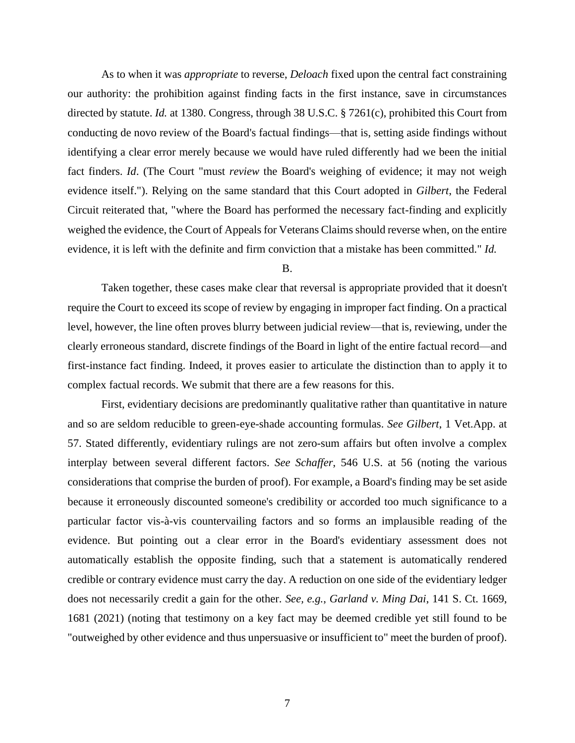As to when it was *appropriate* to reverse, *Deloach* fixed upon the central fact constraining our authority: the prohibition against finding facts in the first instance, save in circumstances directed by statute. *Id.* at 1380. Congress, through 38 U.S.C. § 7261(c), prohibited this Court from conducting de novo review of the Board's factual findings—that is, setting aside findings without identifying a clear error merely because we would have ruled differently had we been the initial fact finders. *Id*. (The Court "must *review* the Board's weighing of evidence; it may not weigh evidence itself."). Relying on the same standard that this Court adopted in *Gilbert*, the Federal Circuit reiterated that, "where the Board has performed the necessary fact-finding and explicitly weighed the evidence, the Court of Appeals for Veterans Claims should reverse when, on the entire evidence, it is left with the definite and firm conviction that a mistake has been committed." *Id.*

B.

Taken together, these cases make clear that reversal is appropriate provided that it doesn't require the Court to exceed its scope of review by engaging in improper fact finding. On a practical level, however, the line often proves blurry between judicial review—that is, reviewing, under the clearly erroneous standard, discrete findings of the Board in light of the entire factual record—and first-instance fact finding. Indeed, it proves easier to articulate the distinction than to apply it to complex factual records. We submit that there are a few reasons for this.

First, evidentiary decisions are predominantly qualitative rather than quantitative in nature and so are seldom reducible to green-eye-shade accounting formulas. *See Gilbert*, 1 Vet.App. at 57. Stated differently, evidentiary rulings are not zero-sum affairs but often involve a complex interplay between several different factors. *See Schaffer*, 546 U.S. at 56 (noting the various considerations that comprise the burden of proof). For example, a Board's finding may be set aside because it erroneously discounted someone's credibility or accorded too much significance to a particular factor vis-à-vis countervailing factors and so forms an implausible reading of the evidence. But pointing out a clear error in the Board's evidentiary assessment does not automatically establish the opposite finding, such that a statement is automatically rendered credible or contrary evidence must carry the day. A reduction on one side of the evidentiary ledger does not necessarily credit a gain for the other. *See, e.g.*, *Garland v. Ming Dai*, 141 S. Ct. 1669, 1681 (2021) (noting that testimony on a key fact may be deemed credible yet still found to be "outweighed by other evidence and thus unpersuasive or insufficient to" meet the burden of proof).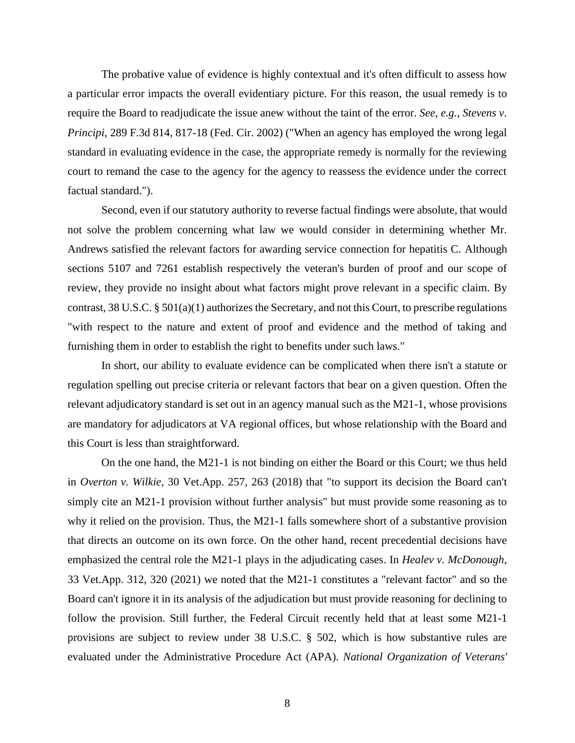The probative value of evidence is highly contextual and it's often difficult to assess how a particular error impacts the overall evidentiary picture. For this reason, the usual remedy is to require the Board to readjudicate the issue anew without the taint of the error. *See, e.g.*, *Stevens v. Principi*, 289 F.3d 814, 817-18 (Fed. Cir. 2002) ("When an agency has employed the wrong legal standard in evaluating evidence in the case, the appropriate remedy is normally for the reviewing court to remand the case to the agency for the agency to reassess the evidence under the correct factual standard.").

Second, even if our statutory authority to reverse factual findings were absolute, that would not solve the problem concerning what law we would consider in determining whether Mr. Andrews satisfied the relevant factors for awarding service connection for hepatitis C. Although sections 5107 and 7261 establish respectively the veteran's burden of proof and our scope of review, they provide no insight about what factors might prove relevant in a specific claim. By contrast, 38 U.S.C. § 501(a)(1) authorizes the Secretary, and not this Court, to prescribe regulations "with respect to the nature and extent of proof and evidence and the method of taking and furnishing them in order to establish the right to benefits under such laws."

In short, our ability to evaluate evidence can be complicated when there isn't a statute or regulation spelling out precise criteria or relevant factors that bear on a given question. Often the relevant adjudicatory standard is set out in an agency manual such as the M21-1, whose provisions are mandatory for adjudicators at VA regional offices, but whose relationship with the Board and this Court is less than straightforward.

On the one hand, the M21-1 is not binding on either the Board or this Court; we thus held in *Overton v. Wilkie*, 30 Vet.App. 257, 263 (2018) that "to support its decision the Board can't simply cite an M21-1 provision without further analysis" but must provide some reasoning as to why it relied on the provision. Thus, the M21-1 falls somewhere short of a substantive provision that directs an outcome on its own force. On the other hand, recent precedential decisions have emphasized the central role the M21-1 plays in the adjudicating cases. In *Healev v. McDonough*, 33 Vet.App. 312, 320 (2021) we noted that the M21-1 constitutes a "relevant factor" and so the Board can't ignore it in its analysis of the adjudication but must provide reasoning for declining to follow the provision. Still further, the Federal Circuit recently held that at least some M21-1 provisions are subject to review under 38 U.S.C. § 502, which is how substantive rules are evaluated under the Administrative Procedure Act (APA). *National Organization of Veterans'*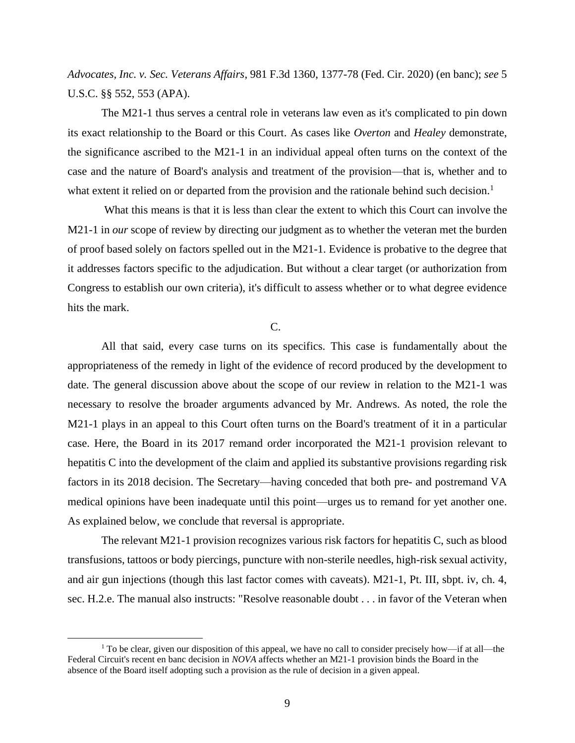*Advocates, Inc. v. Sec. Veterans Affairs*, 981 F.3d 1360, 1377-78 (Fed. Cir. 2020) (en banc); *see* 5 U.S.C. §§ 552, 553 (APA).

The M21-1 thus serves a central role in veterans law even as it's complicated to pin down its exact relationship to the Board or this Court. As cases like *Overton* and *Healey* demonstrate, the significance ascribed to the M21-1 in an individual appeal often turns on the context of the case and the nature of Board's analysis and treatment of the provision—that is, whether and to what extent it relied on or departed from the provision and the rationale behind such decision.<sup>1</sup>

What this means is that it is less than clear the extent to which this Court can involve the M21-1 in *our* scope of review by directing our judgment as to whether the veteran met the burden of proof based solely on factors spelled out in the M21-1. Evidence is probative to the degree that it addresses factors specific to the adjudication. But without a clear target (or authorization from Congress to establish our own criteria), it's difficult to assess whether or to what degree evidence hits the mark.

## C.

All that said, every case turns on its specifics. This case is fundamentally about the appropriateness of the remedy in light of the evidence of record produced by the development to date. The general discussion above about the scope of our review in relation to the M21-1 was necessary to resolve the broader arguments advanced by Mr. Andrews. As noted, the role the M21-1 plays in an appeal to this Court often turns on the Board's treatment of it in a particular case. Here, the Board in its 2017 remand order incorporated the M21-1 provision relevant to hepatitis C into the development of the claim and applied its substantive provisions regarding risk factors in its 2018 decision. The Secretary—having conceded that both pre- and postremand VA medical opinions have been inadequate until this point—urges us to remand for yet another one. As explained below, we conclude that reversal is appropriate.

The relevant M21-1 provision recognizes various risk factors for hepatitis C, such as blood transfusions, tattoos or body piercings, puncture with non-sterile needles, high-risk sexual activity, and air gun injections (though this last factor comes with caveats). M21-1, Pt. III, sbpt. iv, ch. 4, sec. H.2.e. The manual also instructs: "Resolve reasonable doubt . . . in favor of the Veteran when

 $1$  To be clear, given our disposition of this appeal, we have no call to consider precisely how—if at all—the Federal Circuit's recent en banc decision in *NOVA* affects whether an M21-1 provision binds the Board in the absence of the Board itself adopting such a provision as the rule of decision in a given appeal.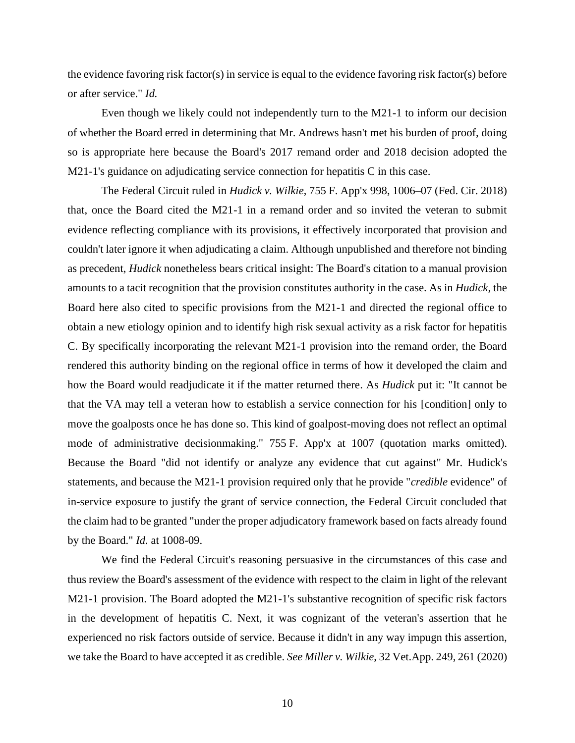the evidence favoring risk factor(s) in service is equal to the evidence favoring risk factor(s) before or after service." *Id.*

Even though we likely could not independently turn to the M21-1 to inform our decision of whether the Board erred in determining that Mr. Andrews hasn't met his burden of proof, doing so is appropriate here because the Board's 2017 remand order and 2018 decision adopted the M21-1's guidance on adjudicating service connection for hepatitis C in this case.

The Federal Circuit ruled in *Hudick v. Wilkie*, 755 F. App'x 998, 1006–07 (Fed. Cir. 2018) that, once the Board cited the M21-1 in a remand order and so invited the veteran to submit evidence reflecting compliance with its provisions, it effectively incorporated that provision and couldn't later ignore it when adjudicating a claim. Although unpublished and therefore not binding as precedent, *Hudick* nonetheless bears critical insight: The Board's citation to a manual provision amounts to a tacit recognition that the provision constitutes authority in the case. As in *Hudick*, the Board here also cited to specific provisions from the M21-1 and directed the regional office to obtain a new etiology opinion and to identify high risk sexual activity as a risk factor for hepatitis C. By specifically incorporating the relevant M21-1 provision into the remand order, the Board rendered this authority binding on the regional office in terms of how it developed the claim and how the Board would readjudicate it if the matter returned there. As *Hudick* put it: "It cannot be that the VA may tell a veteran how to establish a service connection for his [condition] only to move the goalposts once he has done so. This kind of goalpost-moving does not reflect an optimal mode of administrative decisionmaking." 755 F. App'x at 1007 (quotation marks omitted). Because the Board "did not identify or analyze any evidence that cut against" Mr. Hudick's statements, and because the M21-1 provision required only that he provide "*credible* evidence" of in-service exposure to justify the grant of service connection, the Federal Circuit concluded that the claim had to be granted "under the proper adjudicatory framework based on facts already found by the Board." *Id.* at 1008-09.

We find the Federal Circuit's reasoning persuasive in the circumstances of this case and thus review the Board's assessment of the evidence with respect to the claim in light of the relevant M21-1 provision. The Board adopted the M21-1's substantive recognition of specific risk factors in the development of hepatitis C. Next, it was cognizant of the veteran's assertion that he experienced no risk factors outside of service. Because it didn't in any way impugn this assertion, we take the Board to have accepted it as credible. *See Miller v. Wilkie*, 32 Vet.App. 249, 261 (2020)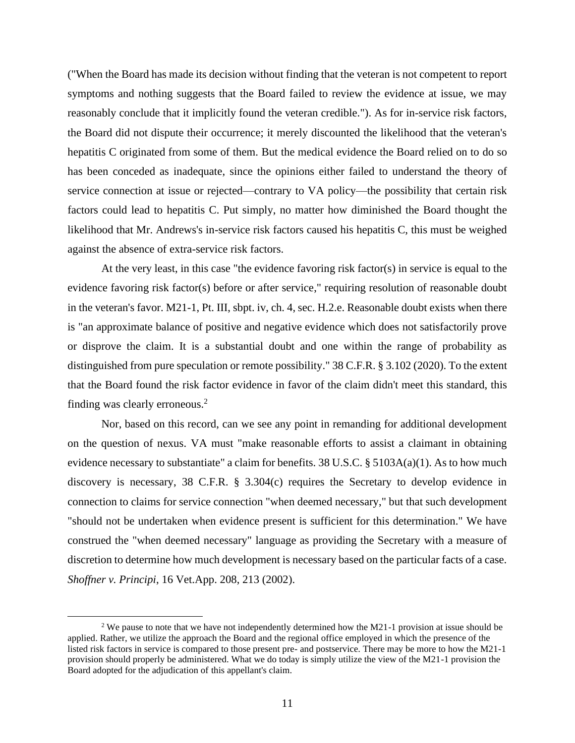("When the Board has made its decision without finding that the veteran is not competent to report symptoms and nothing suggests that the Board failed to review the evidence at issue, we may reasonably conclude that it implicitly found the veteran credible."). As for in-service risk factors, the Board did not dispute their occurrence; it merely discounted the likelihood that the veteran's hepatitis C originated from some of them. But the medical evidence the Board relied on to do so has been conceded as inadequate, since the opinions either failed to understand the theory of service connection at issue or rejected—contrary to VA policy—the possibility that certain risk factors could lead to hepatitis C. Put simply, no matter how diminished the Board thought the likelihood that Mr. Andrews's in-service risk factors caused his hepatitis C, this must be weighed against the absence of extra-service risk factors.

At the very least, in this case "the evidence favoring risk factor(s) in service is equal to the evidence favoring risk factor(s) before or after service," requiring resolution of reasonable doubt in the veteran's favor. M21-1, Pt. III, sbpt. iv, ch. 4, sec. H.2.e. Reasonable doubt exists when there is "an approximate balance of positive and negative evidence which does not satisfactorily prove or disprove the claim. It is a substantial doubt and one within the range of probability as distinguished from pure speculation or remote possibility." 38 C.F.R. § 3.102 (2020). To the extent that the Board found the risk factor evidence in favor of the claim didn't meet this standard, this finding was clearly erroneous.<sup>2</sup>

Nor, based on this record, can we see any point in remanding for additional development on the question of nexus. VA must "make reasonable efforts to assist a claimant in obtaining evidence necessary to substantiate" a claim for benefits.  $38 \text{ U.S.C.}$  §  $5103\text{A(a)}(1)$ . As to how much discovery is necessary, 38 C.F.R. § 3.304(c) requires the Secretary to develop evidence in connection to claims for service connection "when deemed necessary," but that such development "should not be undertaken when evidence present is sufficient for this determination." We have construed the "when deemed necessary" language as providing the Secretary with a measure of discretion to determine how much development is necessary based on the particular facts of a case. *Shoffner v. Principi*, 16 Vet.App. 208, 213 (2002).

<sup>&</sup>lt;sup>2</sup> We pause to note that we have not independently determined how the M21-1 provision at issue should be applied. Rather, we utilize the approach the Board and the regional office employed in which the presence of the listed risk factors in service is compared to those present pre- and postservice. There may be more to how the M21-1 provision should properly be administered. What we do today is simply utilize the view of the M21-1 provision the Board adopted for the adjudication of this appellant's claim.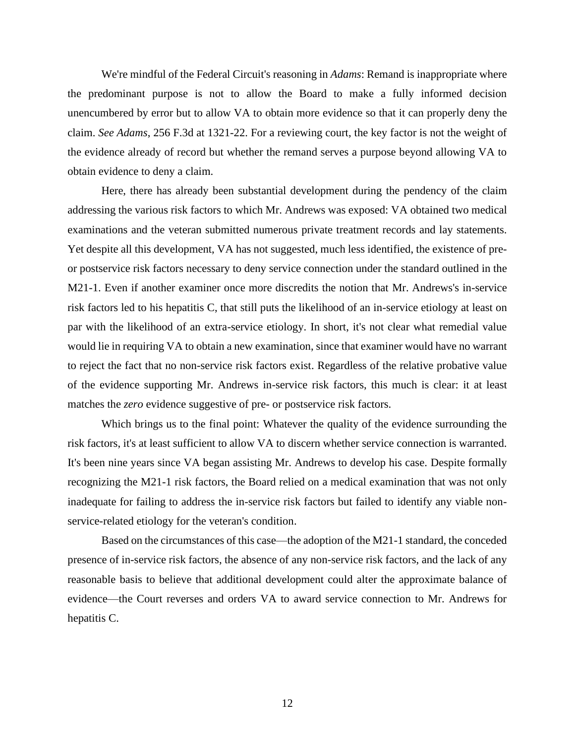We're mindful of the Federal Circuit's reasoning in *Adams*: Remand is inappropriate where the predominant purpose is not to allow the Board to make a fully informed decision unencumbered by error but to allow VA to obtain more evidence so that it can properly deny the claim. *See Adams*, 256 F.3d at 1321-22. For a reviewing court, the key factor is not the weight of the evidence already of record but whether the remand serves a purpose beyond allowing VA to obtain evidence to deny a claim.

Here, there has already been substantial development during the pendency of the claim addressing the various risk factors to which Mr. Andrews was exposed: VA obtained two medical examinations and the veteran submitted numerous private treatment records and lay statements. Yet despite all this development, VA has not suggested, much less identified, the existence of preor postservice risk factors necessary to deny service connection under the standard outlined in the M21-1. Even if another examiner once more discredits the notion that Mr. Andrews's in-service risk factors led to his hepatitis C, that still puts the likelihood of an in-service etiology at least on par with the likelihood of an extra-service etiology. In short, it's not clear what remedial value would lie in requiring VA to obtain a new examination, since that examiner would have no warrant to reject the fact that no non-service risk factors exist. Regardless of the relative probative value of the evidence supporting Mr. Andrews in-service risk factors, this much is clear: it at least matches the *zero* evidence suggestive of pre- or postservice risk factors.

Which brings us to the final point: Whatever the quality of the evidence surrounding the risk factors, it's at least sufficient to allow VA to discern whether service connection is warranted. It's been nine years since VA began assisting Mr. Andrews to develop his case. Despite formally recognizing the M21-1 risk factors, the Board relied on a medical examination that was not only inadequate for failing to address the in-service risk factors but failed to identify any viable nonservice-related etiology for the veteran's condition.

Based on the circumstances of this case—the adoption of the M21-1 standard, the conceded presence of in-service risk factors, the absence of any non-service risk factors, and the lack of any reasonable basis to believe that additional development could alter the approximate balance of evidence—the Court reverses and orders VA to award service connection to Mr. Andrews for hepatitis C.